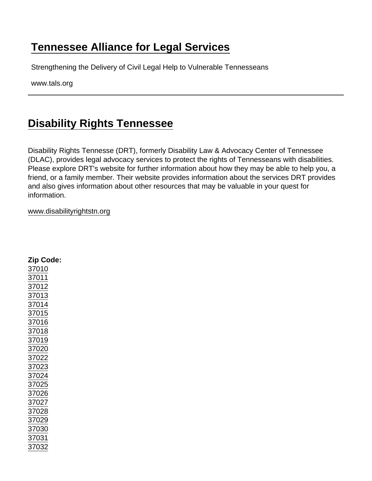## [Tennessee Alliance for Legal Services](https://www.tals.org/)

Strengthening the Delivery of Civil Legal Help to Vulnerable Tennesseans

www.tals.org

## [Disability Rights Tennessee](https://www.tals.org/node/368/disability-rights-tennessee)

Disability Rights Tennesse (DRT), formerly Disability Law & Advocacy Center of Tennessee (DLAC), provides legal advocacy services to protect the rights of Tennesseans with disabilities. Please explore DRT's website for further information about how they may be able to help you, a friend, or a family member. Their website provides information about the services DRT provides and also gives information about other resources that may be valuable in your quest for information.

## [www.disabilityrightstn.org](http://www.disabilityrights.tn.org)

| Zip Code: |
|-----------|
| 37010     |
| 37011     |
| 37012     |
| 37013     |
| 37014     |
| 37015     |
| 37016     |
| 37018     |
| 37019     |
| 37020     |
| 37022     |
| 37023     |
| 37024     |
| 37025     |
| 37026     |
| 37027     |
| 37028     |
| 37029     |
| 37030     |
| 37031     |
| 37032     |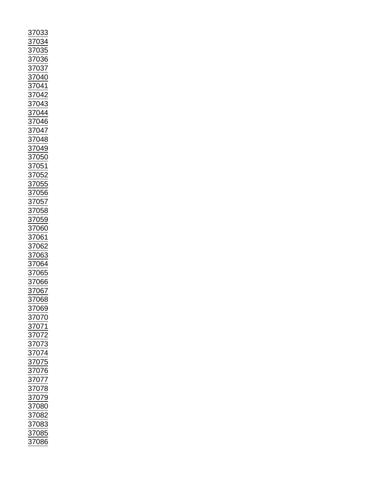| 37033                                                                                                                                                                                                                                  |
|----------------------------------------------------------------------------------------------------------------------------------------------------------------------------------------------------------------------------------------|
| 034                                                                                                                                                                                                                                    |
| $\frac{37}{2}$                                                                                                                                                                                                                         |
|                                                                                                                                                                                                                                        |
|                                                                                                                                                                                                                                        |
|                                                                                                                                                                                                                                        |
|                                                                                                                                                                                                                                        |
|                                                                                                                                                                                                                                        |
|                                                                                                                                                                                                                                        |
|                                                                                                                                                                                                                                        |
|                                                                                                                                                                                                                                        |
|                                                                                                                                                                                                                                        |
| $\frac{\frac{1284}{27035}}{\frac{37036}{37037}}$ $\frac{37037}{37041}$ $\frac{37041}{37042}$                                                                                                                                           |
|                                                                                                                                                                                                                                        |
|                                                                                                                                                                                                                                        |
|                                                                                                                                                                                                                                        |
|                                                                                                                                                                                                                                        |
|                                                                                                                                                                                                                                        |
|                                                                                                                                                                                                                                        |
|                                                                                                                                                                                                                                        |
|                                                                                                                                                                                                                                        |
|                                                                                                                                                                                                                                        |
|                                                                                                                                                                                                                                        |
|                                                                                                                                                                                                                                        |
|                                                                                                                                                                                                                                        |
|                                                                                                                                                                                                                                        |
|                                                                                                                                                                                                                                        |
|                                                                                                                                                                                                                                        |
|                                                                                                                                                                                                                                        |
|                                                                                                                                                                                                                                        |
|                                                                                                                                                                                                                                        |
|                                                                                                                                                                                                                                        |
|                                                                                                                                                                                                                                        |
|                                                                                                                                                                                                                                        |
|                                                                                                                                                                                                                                        |
|                                                                                                                                                                                                                                        |
|                                                                                                                                                                                                                                        |
|                                                                                                                                                                                                                                        |
|                                                                                                                                                                                                                                        |
|                                                                                                                                                                                                                                        |
|                                                                                                                                                                                                                                        |
|                                                                                                                                                                                                                                        |
|                                                                                                                                                                                                                                        |
|                                                                                                                                                                                                                                        |
|                                                                                                                                                                                                                                        |
|                                                                                                                                                                                                                                        |
|                                                                                                                                                                                                                                        |
|                                                                                                                                                                                                                                        |
|                                                                                                                                                                                                                                        |
| 37042<br>37043<br>37044<br>37044<br>37048<br>37048<br>37050<br>37052<br>37055<br>37055<br>37055<br>37055<br>37055<br>37055<br>37055<br>37055<br>37055<br>37055<br>37055<br>37055<br>37055<br>37055<br>37055<br>37055<br>37055<br>37055 |
|                                                                                                                                                                                                                                        |
|                                                                                                                                                                                                                                        |
|                                                                                                                                                                                                                                        |
|                                                                                                                                                                                                                                        |
|                                                                                                                                                                                                                                        |
|                                                                                                                                                                                                                                        |
|                                                                                                                                                                                                                                        |
|                                                                                                                                                                                                                                        |
| <u>97063</u><br>37063<br>37064<br>37065<br>37066<br>37067                                                                                                                                                                              |
|                                                                                                                                                                                                                                        |
|                                                                                                                                                                                                                                        |
| 87068<br>87069                                                                                                                                                                                                                         |
|                                                                                                                                                                                                                                        |
|                                                                                                                                                                                                                                        |
|                                                                                                                                                                                                                                        |
|                                                                                                                                                                                                                                        |
|                                                                                                                                                                                                                                        |
|                                                                                                                                                                                                                                        |
|                                                                                                                                                                                                                                        |
|                                                                                                                                                                                                                                        |
|                                                                                                                                                                                                                                        |
|                                                                                                                                                                                                                                        |
|                                                                                                                                                                                                                                        |
|                                                                                                                                                                                                                                        |
|                                                                                                                                                                                                                                        |
|                                                                                                                                                                                                                                        |
|                                                                                                                                                                                                                                        |
|                                                                                                                                                                                                                                        |
| 37070<br>37071<br>37072<br>37073<br>37075<br>37075<br>37076<br>37077<br>37077                                                                                                                                                          |
|                                                                                                                                                                                                                                        |
|                                                                                                                                                                                                                                        |
|                                                                                                                                                                                                                                        |
|                                                                                                                                                                                                                                        |
|                                                                                                                                                                                                                                        |
|                                                                                                                                                                                                                                        |
|                                                                                                                                                                                                                                        |
|                                                                                                                                                                                                                                        |
| $\frac{37079}{37079}$ $\frac{37080}{37082}$ $\frac{37083}{37085}$<br>37086                                                                                                                                                             |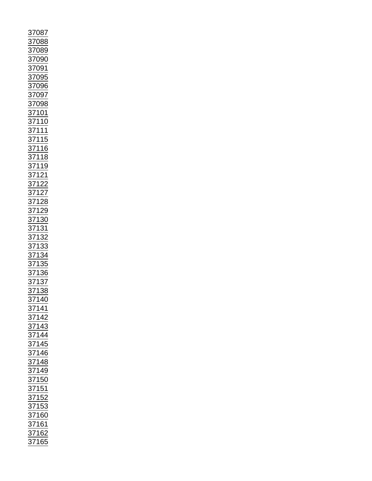|                                                                                                                   |  | 37087<br>37088<br>37089<br>370901<br>370901<br>37095<br>37096<br>37096<br>37098<br>37098<br>371110<br>371115<br>371116<br>371122<br>37122<br>37122<br>37122<br>37122<br>37122<br>37122<br>37122<br>37133<br>37133<br>37133<br>37133<br>37133<br>37133<br>37133<br>37133<br>37133<br>37133<br> |  |
|-------------------------------------------------------------------------------------------------------------------|--|-----------------------------------------------------------------------------------------------------------------------------------------------------------------------------------------------------------------------------------------------------------------------------------------------|--|
|                                                                                                                   |  |                                                                                                                                                                                                                                                                                               |  |
|                                                                                                                   |  |                                                                                                                                                                                                                                                                                               |  |
|                                                                                                                   |  |                                                                                                                                                                                                                                                                                               |  |
|                                                                                                                   |  |                                                                                                                                                                                                                                                                                               |  |
|                                                                                                                   |  |                                                                                                                                                                                                                                                                                               |  |
|                                                                                                                   |  |                                                                                                                                                                                                                                                                                               |  |
|                                                                                                                   |  |                                                                                                                                                                                                                                                                                               |  |
|                                                                                                                   |  |                                                                                                                                                                                                                                                                                               |  |
|                                                                                                                   |  |                                                                                                                                                                                                                                                                                               |  |
|                                                                                                                   |  |                                                                                                                                                                                                                                                                                               |  |
|                                                                                                                   |  |                                                                                                                                                                                                                                                                                               |  |
|                                                                                                                   |  |                                                                                                                                                                                                                                                                                               |  |
|                                                                                                                   |  |                                                                                                                                                                                                                                                                                               |  |
|                                                                                                                   |  |                                                                                                                                                                                                                                                                                               |  |
|                                                                                                                   |  |                                                                                                                                                                                                                                                                                               |  |
|                                                                                                                   |  |                                                                                                                                                                                                                                                                                               |  |
|                                                                                                                   |  |                                                                                                                                                                                                                                                                                               |  |
|                                                                                                                   |  |                                                                                                                                                                                                                                                                                               |  |
|                                                                                                                   |  |                                                                                                                                                                                                                                                                                               |  |
|                                                                                                                   |  |                                                                                                                                                                                                                                                                                               |  |
|                                                                                                                   |  |                                                                                                                                                                                                                                                                                               |  |
| 37141<br>37142<br>37143<br>37144<br>37146<br>37148<br>37150<br>37152<br>37152<br>37153<br>37153<br>37162<br>37162 |  |                                                                                                                                                                                                                                                                                               |  |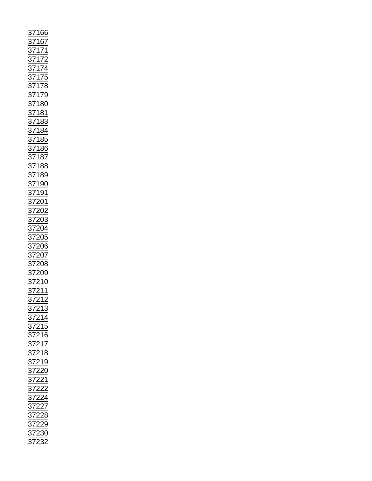| 37166<br>371772<br>371772<br>371772<br>371778<br>371778<br>37178<br>37178<br>37188<br>37188<br>37188<br>37188<br>37188<br>37188<br>37188<br>37188<br>37189<br>371910<br>371910<br>37200<br>37200<br>37200<br>37200<br>37200<br>37200<br>37201<br>37201<br>37201<br>37201<br>37201<br>37201 |
|--------------------------------------------------------------------------------------------------------------------------------------------------------------------------------------------------------------------------------------------------------------------------------------------|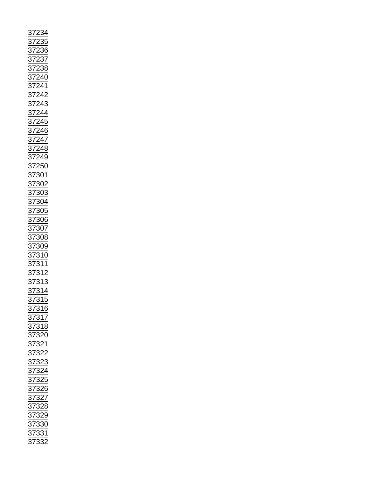| 234<br><u>37</u> |
|------------------|
|                  |
|                  |
|                  |
|                  |
|                  |
|                  |
|                  |
|                  |
|                  |
|                  |
|                  |
|                  |
|                  |
|                  |
|                  |
|                  |
|                  |
|                  |
|                  |
|                  |
|                  |
|                  |
|                  |
|                  |
|                  |
|                  |
|                  |
|                  |
|                  |
|                  |
|                  |
|                  |
|                  |
|                  |
|                  |
|                  |
|                  |
|                  |
|                  |
|                  |
|                  |
|                  |
|                  |
|                  |
|                  |
|                  |
|                  |
|                  |
|                  |
|                  |
|                  |
|                  |
|                  |
|                  |
|                  |
|                  |
|                  |
|                  |
|                  |
|                  |
|                  |
|                  |
|                  |
|                  |
|                  |
|                  |
|                  |
|                  |
|                  |
|                  |
|                  |
|                  |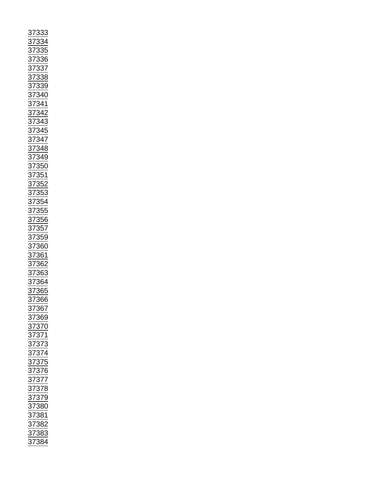| $\frac{37333}{37334} \underline{37334} \underline{37334} \underline{37334} \underline{373336} \underline{373338} \underline{373338} \underline{373338} \underline{373338} \underline{3733344} \underline{373442} \underline{373442} \underline{373442} \underline{373443} \underline{373443} \underline{373448} \underline{373448} \underline{373448} \underline{373555} \underline{373555} \underline{373555} \underline{3735$ |
|---------------------------------------------------------------------------------------------------------------------------------------------------------------------------------------------------------------------------------------------------------------------------------------------------------------------------------------------------------------------------------------------------------------------------------|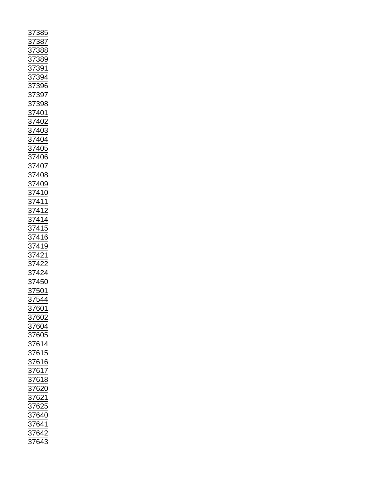| $\overline{\mathbf{37}}$                                                                                                                                                                                                                                                                     |                |       | 385               |
|----------------------------------------------------------------------------------------------------------------------------------------------------------------------------------------------------------------------------------------------------------------------------------------------|----------------|-------|-------------------|
|                                                                                                                                                                                                                                                                                              |                |       |                   |
|                                                                                                                                                                                                                                                                                              | $\frac{37}{4}$ |       |                   |
|                                                                                                                                                                                                                                                                                              |                |       |                   |
|                                                                                                                                                                                                                                                                                              |                |       |                   |
|                                                                                                                                                                                                                                                                                              |                |       | 387<br>388<br>389 |
|                                                                                                                                                                                                                                                                                              |                |       |                   |
|                                                                                                                                                                                                                                                                                              |                |       |                   |
|                                                                                                                                                                                                                                                                                              |                |       |                   |
|                                                                                                                                                                                                                                                                                              |                |       |                   |
|                                                                                                                                                                                                                                                                                              |                |       |                   |
|                                                                                                                                                                                                                                                                                              |                |       |                   |
|                                                                                                                                                                                                                                                                                              |                |       |                   |
|                                                                                                                                                                                                                                                                                              |                |       |                   |
|                                                                                                                                                                                                                                                                                              |                |       |                   |
|                                                                                                                                                                                                                                                                                              |                |       |                   |
|                                                                                                                                                                                                                                                                                              |                |       |                   |
|                                                                                                                                                                                                                                                                                              |                |       |                   |
|                                                                                                                                                                                                                                                                                              |                |       |                   |
|                                                                                                                                                                                                                                                                                              |                |       |                   |
|                                                                                                                                                                                                                                                                                              |                |       |                   |
|                                                                                                                                                                                                                                                                                              |                |       |                   |
|                                                                                                                                                                                                                                                                                              |                |       |                   |
|                                                                                                                                                                                                                                                                                              |                |       |                   |
| 37388<br>37389<br>37394<br>37394<br>37396<br>37398<br>37398<br>37398<br>37398<br>37402<br>37404<br>37405<br>37409<br>37409<br>37409<br>37409<br>37409<br>37409<br>37409<br>37409<br>37409<br>37409<br>37409<br>37409<br>37409<br>37409<br>37409<br>37409<br>37410<br>37410<br>37410<br>37411 |                |       |                   |
|                                                                                                                                                                                                                                                                                              |                |       |                   |
|                                                                                                                                                                                                                                                                                              |                |       |                   |
|                                                                                                                                                                                                                                                                                              |                |       |                   |
|                                                                                                                                                                                                                                                                                              |                |       |                   |
|                                                                                                                                                                                                                                                                                              |                |       |                   |
|                                                                                                                                                                                                                                                                                              |                |       |                   |
|                                                                                                                                                                                                                                                                                              |                |       |                   |
|                                                                                                                                                                                                                                                                                              |                |       |                   |
|                                                                                                                                                                                                                                                                                              |                |       |                   |
|                                                                                                                                                                                                                                                                                              |                |       |                   |
|                                                                                                                                                                                                                                                                                              |                |       |                   |
|                                                                                                                                                                                                                                                                                              |                |       |                   |
|                                                                                                                                                                                                                                                                                              |                |       |                   |
|                                                                                                                                                                                                                                                                                              |                |       |                   |
|                                                                                                                                                                                                                                                                                              |                |       |                   |
|                                                                                                                                                                                                                                                                                              |                |       |                   |
|                                                                                                                                                                                                                                                                                              |                |       |                   |
|                                                                                                                                                                                                                                                                                              |                |       |                   |
|                                                                                                                                                                                                                                                                                              |                |       |                   |
|                                                                                                                                                                                                                                                                                              |                |       |                   |
| $\frac{1}{37501}$                                                                                                                                                                                                                                                                            |                |       |                   |
|                                                                                                                                                                                                                                                                                              |                |       |                   |
|                                                                                                                                                                                                                                                                                              |                | 37544 |                   |
|                                                                                                                                                                                                                                                                                              |                |       |                   |
|                                                                                                                                                                                                                                                                                              |                |       |                   |
|                                                                                                                                                                                                                                                                                              |                |       |                   |
|                                                                                                                                                                                                                                                                                              |                |       |                   |
|                                                                                                                                                                                                                                                                                              |                |       |                   |
|                                                                                                                                                                                                                                                                                              |                |       |                   |
|                                                                                                                                                                                                                                                                                              |                |       |                   |
|                                                                                                                                                                                                                                                                                              |                |       |                   |
|                                                                                                                                                                                                                                                                                              |                |       |                   |
|                                                                                                                                                                                                                                                                                              |                |       |                   |
|                                                                                                                                                                                                                                                                                              |                |       |                   |
|                                                                                                                                                                                                                                                                                              |                |       |                   |
|                                                                                                                                                                                                                                                                                              |                |       |                   |
|                                                                                                                                                                                                                                                                                              |                |       |                   |
|                                                                                                                                                                                                                                                                                              |                |       |                   |
|                                                                                                                                                                                                                                                                                              |                |       |                   |
|                                                                                                                                                                                                                                                                                              |                |       |                   |
|                                                                                                                                                                                                                                                                                              |                |       |                   |
|                                                                                                                                                                                                                                                                                              |                |       |                   |
|                                                                                                                                                                                                                                                                                              |                |       |                   |
| 37601<br>37602<br>37604<br>37605<br>37614<br>37615<br>37617<br>37618<br>37620<br>37620<br>37625<br>37642<br>37642<br>37642                                                                                                                                                                   |                |       |                   |
|                                                                                                                                                                                                                                                                                              |                |       |                   |
|                                                                                                                                                                                                                                                                                              |                |       |                   |
|                                                                                                                                                                                                                                                                                              |                |       |                   |
|                                                                                                                                                                                                                                                                                              |                |       |                   |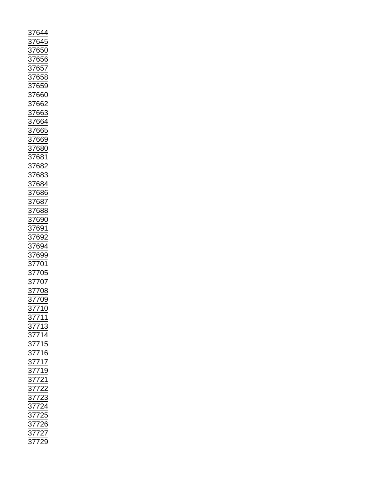| 37644                                                                                                                               |
|-------------------------------------------------------------------------------------------------------------------------------------|
|                                                                                                                                     |
| $\frac{1}{2}7645$                                                                                                                   |
|                                                                                                                                     |
|                                                                                                                                     |
| 37650<br>37656                                                                                                                      |
|                                                                                                                                     |
|                                                                                                                                     |
|                                                                                                                                     |
|                                                                                                                                     |
|                                                                                                                                     |
|                                                                                                                                     |
|                                                                                                                                     |
|                                                                                                                                     |
|                                                                                                                                     |
|                                                                                                                                     |
|                                                                                                                                     |
|                                                                                                                                     |
|                                                                                                                                     |
|                                                                                                                                     |
|                                                                                                                                     |
| 37657<br>37658<br>37659<br>37662<br>37663<br>37664<br>37665<br>37665                                                                |
|                                                                                                                                     |
|                                                                                                                                     |
|                                                                                                                                     |
|                                                                                                                                     |
|                                                                                                                                     |
|                                                                                                                                     |
|                                                                                                                                     |
|                                                                                                                                     |
|                                                                                                                                     |
|                                                                                                                                     |
|                                                                                                                                     |
|                                                                                                                                     |
|                                                                                                                                     |
|                                                                                                                                     |
|                                                                                                                                     |
|                                                                                                                                     |
|                                                                                                                                     |
|                                                                                                                                     |
| $\frac{11880}{37680}$ $\frac{37681}{37682}$ $\frac{37683}{37684}$ $\frac{37684}{37688}$ $\frac{37687}{37690}$ $\frac{37691}{37692}$ |
|                                                                                                                                     |
|                                                                                                                                     |
|                                                                                                                                     |
|                                                                                                                                     |
|                                                                                                                                     |
|                                                                                                                                     |
|                                                                                                                                     |
|                                                                                                                                     |
|                                                                                                                                     |
| 01004<br>37699<br>37699<br>37701<br>37705<br>37708<br>37708                                                                         |
|                                                                                                                                     |
|                                                                                                                                     |
|                                                                                                                                     |
|                                                                                                                                     |
|                                                                                                                                     |
|                                                                                                                                     |
|                                                                                                                                     |
|                                                                                                                                     |
|                                                                                                                                     |
|                                                                                                                                     |
|                                                                                                                                     |
|                                                                                                                                     |
|                                                                                                                                     |
|                                                                                                                                     |
|                                                                                                                                     |
|                                                                                                                                     |
|                                                                                                                                     |
|                                                                                                                                     |
|                                                                                                                                     |
|                                                                                                                                     |
|                                                                                                                                     |
|                                                                                                                                     |
|                                                                                                                                     |
|                                                                                                                                     |
| 37709<br>37710<br>37711<br>37714<br>37715<br>37715<br>37715<br>37719<br>37722<br>37722<br>37722<br>37722<br>37722<br>37722          |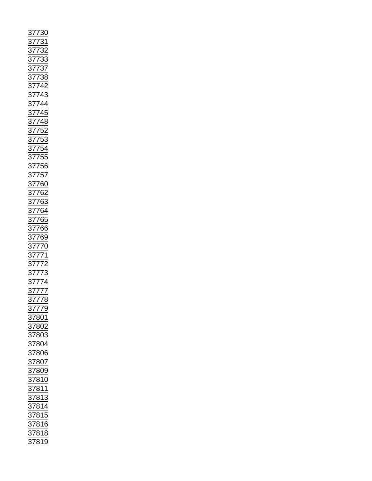| $\frac{37730}{37731} \underline{37732} \\ \underline{37733} \\ \underline{37733} \\ \underline{37733} \\ \underline{37733} \\ \underline{37733} \\ \underline{37733} \\ \underline{37733} \\ \underline{37733} \\ \underline{37733} \\ \underline{37733} \\ \underline{77444} \\ \underline{48} \\ \underline{377444} \\ \underline{52} \\ \underline{377444} \\ \underline{577443} \\ \underline{77744} \\ \underline{377756} \\ \underline{62} \\ \underline{377756}$ |  |
|-------------------------------------------------------------------------------------------------------------------------------------------------------------------------------------------------------------------------------------------------------------------------------------------------------------------------------------------------------------------------------------------------------------------------------------------------------------------------|--|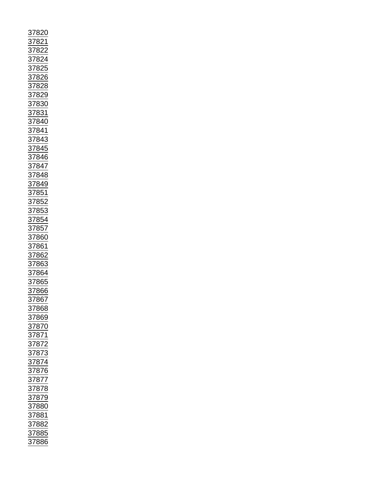| 37820                                                                                                                                                                                                                               |
|-------------------------------------------------------------------------------------------------------------------------------------------------------------------------------------------------------------------------------------|
|                                                                                                                                                                                                                                     |
|                                                                                                                                                                                                                                     |
|                                                                                                                                                                                                                                     |
|                                                                                                                                                                                                                                     |
|                                                                                                                                                                                                                                     |
|                                                                                                                                                                                                                                     |
|                                                                                                                                                                                                                                     |
|                                                                                                                                                                                                                                     |
|                                                                                                                                                                                                                                     |
|                                                                                                                                                                                                                                     |
|                                                                                                                                                                                                                                     |
|                                                                                                                                                                                                                                     |
|                                                                                                                                                                                                                                     |
|                                                                                                                                                                                                                                     |
|                                                                                                                                                                                                                                     |
|                                                                                                                                                                                                                                     |
|                                                                                                                                                                                                                                     |
|                                                                                                                                                                                                                                     |
|                                                                                                                                                                                                                                     |
|                                                                                                                                                                                                                                     |
|                                                                                                                                                                                                                                     |
|                                                                                                                                                                                                                                     |
|                                                                                                                                                                                                                                     |
| 37821<br>37822 37826<br>37822 37826<br>37826 37828 37830<br>37829 37833 37840<br>37844 37844 37844 37844 37844 37844 57844 37845<br>37853 37853 37852<br>37853 37852<br>37852<br>37852<br>37852<br>37862<br>37862<br>37862<br>37863 |
|                                                                                                                                                                                                                                     |
|                                                                                                                                                                                                                                     |
|                                                                                                                                                                                                                                     |
|                                                                                                                                                                                                                                     |
|                                                                                                                                                                                                                                     |
|                                                                                                                                                                                                                                     |
|                                                                                                                                                                                                                                     |
|                                                                                                                                                                                                                                     |
|                                                                                                                                                                                                                                     |
|                                                                                                                                                                                                                                     |
|                                                                                                                                                                                                                                     |
|                                                                                                                                                                                                                                     |
|                                                                                                                                                                                                                                     |
|                                                                                                                                                                                                                                     |
|                                                                                                                                                                                                                                     |
|                                                                                                                                                                                                                                     |
|                                                                                                                                                                                                                                     |
|                                                                                                                                                                                                                                     |
|                                                                                                                                                                                                                                     |
|                                                                                                                                                                                                                                     |
|                                                                                                                                                                                                                                     |
|                                                                                                                                                                                                                                     |
|                                                                                                                                                                                                                                     |
| 37867                                                                                                                                                                                                                               |
|                                                                                                                                                                                                                                     |
|                                                                                                                                                                                                                                     |
|                                                                                                                                                                                                                                     |
| 37868<br>37869                                                                                                                                                                                                                      |
|                                                                                                                                                                                                                                     |
|                                                                                                                                                                                                                                     |
|                                                                                                                                                                                                                                     |
|                                                                                                                                                                                                                                     |
|                                                                                                                                                                                                                                     |
|                                                                                                                                                                                                                                     |
|                                                                                                                                                                                                                                     |
|                                                                                                                                                                                                                                     |
|                                                                                                                                                                                                                                     |
|                                                                                                                                                                                                                                     |
|                                                                                                                                                                                                                                     |
|                                                                                                                                                                                                                                     |
|                                                                                                                                                                                                                                     |
|                                                                                                                                                                                                                                     |
|                                                                                                                                                                                                                                     |
|                                                                                                                                                                                                                                     |
|                                                                                                                                                                                                                                     |
|                                                                                                                                                                                                                                     |
|                                                                                                                                                                                                                                     |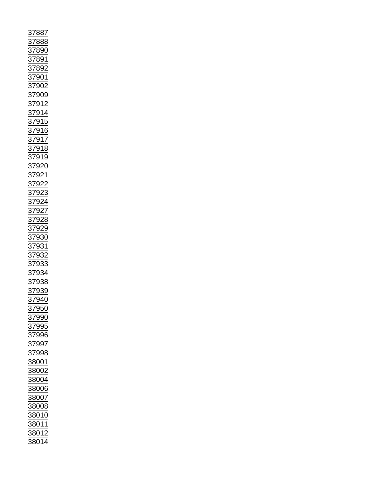| 37887                                                                                                                                                                                                                                                                                                                                                                                                                                             |
|---------------------------------------------------------------------------------------------------------------------------------------------------------------------------------------------------------------------------------------------------------------------------------------------------------------------------------------------------------------------------------------------------------------------------------------------------|
|                                                                                                                                                                                                                                                                                                                                                                                                                                                   |
| <u>888</u><br>$\frac{37}{2}$                                                                                                                                                                                                                                                                                                                                                                                                                      |
|                                                                                                                                                                                                                                                                                                                                                                                                                                                   |
|                                                                                                                                                                                                                                                                                                                                                                                                                                                   |
|                                                                                                                                                                                                                                                                                                                                                                                                                                                   |
|                                                                                                                                                                                                                                                                                                                                                                                                                                                   |
|                                                                                                                                                                                                                                                                                                                                                                                                                                                   |
|                                                                                                                                                                                                                                                                                                                                                                                                                                                   |
|                                                                                                                                                                                                                                                                                                                                                                                                                                                   |
|                                                                                                                                                                                                                                                                                                                                                                                                                                                   |
|                                                                                                                                                                                                                                                                                                                                                                                                                                                   |
|                                                                                                                                                                                                                                                                                                                                                                                                                                                   |
|                                                                                                                                                                                                                                                                                                                                                                                                                                                   |
|                                                                                                                                                                                                                                                                                                                                                                                                                                                   |
|                                                                                                                                                                                                                                                                                                                                                                                                                                                   |
|                                                                                                                                                                                                                                                                                                                                                                                                                                                   |
|                                                                                                                                                                                                                                                                                                                                                                                                                                                   |
|                                                                                                                                                                                                                                                                                                                                                                                                                                                   |
|                                                                                                                                                                                                                                                                                                                                                                                                                                                   |
|                                                                                                                                                                                                                                                                                                                                                                                                                                                   |
|                                                                                                                                                                                                                                                                                                                                                                                                                                                   |
|                                                                                                                                                                                                                                                                                                                                                                                                                                                   |
|                                                                                                                                                                                                                                                                                                                                                                                                                                                   |
|                                                                                                                                                                                                                                                                                                                                                                                                                                                   |
|                                                                                                                                                                                                                                                                                                                                                                                                                                                   |
|                                                                                                                                                                                                                                                                                                                                                                                                                                                   |
|                                                                                                                                                                                                                                                                                                                                                                                                                                                   |
|                                                                                                                                                                                                                                                                                                                                                                                                                                                   |
|                                                                                                                                                                                                                                                                                                                                                                                                                                                   |
|                                                                                                                                                                                                                                                                                                                                                                                                                                                   |
|                                                                                                                                                                                                                                                                                                                                                                                                                                                   |
|                                                                                                                                                                                                                                                                                                                                                                                                                                                   |
|                                                                                                                                                                                                                                                                                                                                                                                                                                                   |
|                                                                                                                                                                                                                                                                                                                                                                                                                                                   |
|                                                                                                                                                                                                                                                                                                                                                                                                                                                   |
|                                                                                                                                                                                                                                                                                                                                                                                                                                                   |
|                                                                                                                                                                                                                                                                                                                                                                                                                                                   |
| $\frac{17890}{378901} \underline{37892} \underline{37892} \underline{37902} \underline{37902} \underline{37902} \underline{37902} \underline{37914} \underline{37915} \underline{37916} \underline{37918} \underline{37918} \underline{37918} \underline{37922} \underline{37922} \underline{37922} \underline{37922} \underline{37922} \underline{37922} \underline{37922} \underline{37922} \underline{37922} \underline{37922} \underline{379$ |
|                                                                                                                                                                                                                                                                                                                                                                                                                                                   |
|                                                                                                                                                                                                                                                                                                                                                                                                                                                   |
|                                                                                                                                                                                                                                                                                                                                                                                                                                                   |
|                                                                                                                                                                                                                                                                                                                                                                                                                                                   |
|                                                                                                                                                                                                                                                                                                                                                                                                                                                   |
|                                                                                                                                                                                                                                                                                                                                                                                                                                                   |
|                                                                                                                                                                                                                                                                                                                                                                                                                                                   |
|                                                                                                                                                                                                                                                                                                                                                                                                                                                   |
|                                                                                                                                                                                                                                                                                                                                                                                                                                                   |
|                                                                                                                                                                                                                                                                                                                                                                                                                                                   |
|                                                                                                                                                                                                                                                                                                                                                                                                                                                   |
|                                                                                                                                                                                                                                                                                                                                                                                                                                                   |
| 37950                                                                                                                                                                                                                                                                                                                                                                                                                                             |
| 37990                                                                                                                                                                                                                                                                                                                                                                                                                                             |
|                                                                                                                                                                                                                                                                                                                                                                                                                                                   |
|                                                                                                                                                                                                                                                                                                                                                                                                                                                   |
| 37995                                                                                                                                                                                                                                                                                                                                                                                                                                             |
|                                                                                                                                                                                                                                                                                                                                                                                                                                                   |
| 37996                                                                                                                                                                                                                                                                                                                                                                                                                                             |
|                                                                                                                                                                                                                                                                                                                                                                                                                                                   |
| 37997                                                                                                                                                                                                                                                                                                                                                                                                                                             |
| 37998                                                                                                                                                                                                                                                                                                                                                                                                                                             |
|                                                                                                                                                                                                                                                                                                                                                                                                                                                   |
| 88001                                                                                                                                                                                                                                                                                                                                                                                                                                             |
| 38002                                                                                                                                                                                                                                                                                                                                                                                                                                             |
|                                                                                                                                                                                                                                                                                                                                                                                                                                                   |
| 38004                                                                                                                                                                                                                                                                                                                                                                                                                                             |
|                                                                                                                                                                                                                                                                                                                                                                                                                                                   |
| 38006                                                                                                                                                                                                                                                                                                                                                                                                                                             |
| 38007                                                                                                                                                                                                                                                                                                                                                                                                                                             |
|                                                                                                                                                                                                                                                                                                                                                                                                                                                   |
| 38008                                                                                                                                                                                                                                                                                                                                                                                                                                             |
|                                                                                                                                                                                                                                                                                                                                                                                                                                                   |
| 38010                                                                                                                                                                                                                                                                                                                                                                                                                                             |
| 38011                                                                                                                                                                                                                                                                                                                                                                                                                                             |
|                                                                                                                                                                                                                                                                                                                                                                                                                                                   |
| 38012<br>$\frac{1}{2}$<br>38014                                                                                                                                                                                                                                                                                                                                                                                                                   |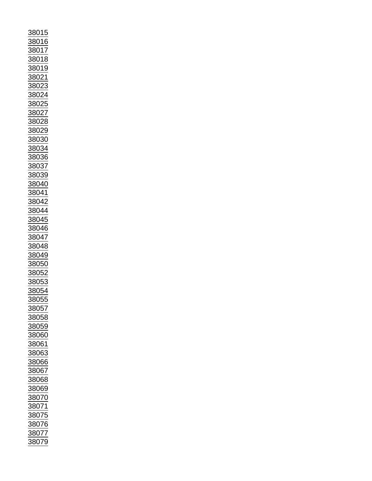| 88015                   |
|-------------------------|
| 38016                   |
|                         |
| 88017                   |
|                         |
| 38018                   |
|                         |
| 8019                    |
|                         |
| 3802                    |
|                         |
| 802<br>3                |
|                         |
| 3802                    |
|                         |
| 38025                   |
|                         |
| 38027                   |
|                         |
| 38028                   |
|                         |
| 38029                   |
|                         |
|                         |
| <u>38030</u>            |
| 38034                   |
|                         |
| <u>38036</u>            |
|                         |
| 38 <u>037</u>           |
|                         |
| 38039                   |
|                         |
| 38040                   |
|                         |
| 38041                   |
|                         |
| 38042                   |
|                         |
| 3804                    |
|                         |
|                         |
| $\frac{128111}{128045}$ |
| 38046                   |
|                         |
| 38047                   |
|                         |
|                         |
| 38048                   |
|                         |
| 38049                   |
|                         |
| 38050                   |
|                         |
| 38052                   |
|                         |
| 38053                   |
|                         |
| 38054                   |
| )                       |
| 8805                    |
| 88057                   |
|                         |
| 88058                   |
|                         |
| 38059                   |
|                         |
| 38060                   |
|                         |
| 38061                   |
|                         |
| 38063                   |
|                         |
| 38066                   |
|                         |
| 88067                   |
| 38068                   |
|                         |
| 38069                   |
|                         |
| 38070                   |
|                         |
| 38071                   |
|                         |
| 38 <u>075</u>           |
|                         |
| 38076                   |
|                         |
| 38077<br>38079          |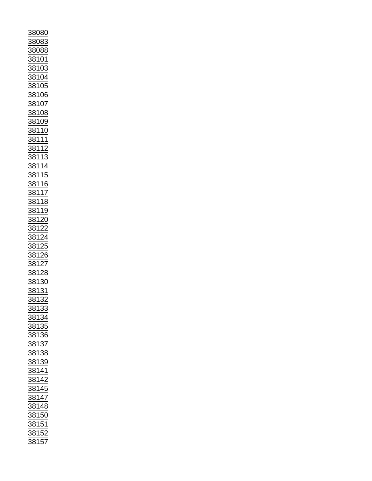| 88080                                                                                                                                                                                                                                                                                        |                           |
|----------------------------------------------------------------------------------------------------------------------------------------------------------------------------------------------------------------------------------------------------------------------------------------------|---------------------------|
|                                                                                                                                                                                                                                                                                              |                           |
| 88083                                                                                                                                                                                                                                                                                        |                           |
|                                                                                                                                                                                                                                                                                              |                           |
|                                                                                                                                                                                                                                                                                              | 88088                     |
|                                                                                                                                                                                                                                                                                              |                           |
|                                                                                                                                                                                                                                                                                              |                           |
|                                                                                                                                                                                                                                                                                              |                           |
|                                                                                                                                                                                                                                                                                              |                           |
|                                                                                                                                                                                                                                                                                              |                           |
|                                                                                                                                                                                                                                                                                              |                           |
|                                                                                                                                                                                                                                                                                              |                           |
|                                                                                                                                                                                                                                                                                              |                           |
|                                                                                                                                                                                                                                                                                              |                           |
|                                                                                                                                                                                                                                                                                              |                           |
|                                                                                                                                                                                                                                                                                              |                           |
|                                                                                                                                                                                                                                                                                              |                           |
|                                                                                                                                                                                                                                                                                              |                           |
|                                                                                                                                                                                                                                                                                              |                           |
|                                                                                                                                                                                                                                                                                              |                           |
|                                                                                                                                                                                                                                                                                              |                           |
|                                                                                                                                                                                                                                                                                              |                           |
|                                                                                                                                                                                                                                                                                              |                           |
|                                                                                                                                                                                                                                                                                              |                           |
|                                                                                                                                                                                                                                                                                              |                           |
|                                                                                                                                                                                                                                                                                              |                           |
|                                                                                                                                                                                                                                                                                              |                           |
|                                                                                                                                                                                                                                                                                              |                           |
|                                                                                                                                                                                                                                                                                              |                           |
|                                                                                                                                                                                                                                                                                              |                           |
|                                                                                                                                                                                                                                                                                              |                           |
| 38101<br>38103<br>38105<br>38106<br>38106<br>38107<br>38109<br>38110<br>38111<br>38111<br>38111<br>38115<br>38115<br>38115<br>38115<br>38115<br>38115<br>38115<br>38115<br>38115<br>38115<br>38115<br>38115<br>38115<br>38115<br>38115<br>38115<br>38115<br>38115<br>38115<br>38115<br>38112 |                           |
|                                                                                                                                                                                                                                                                                              |                           |
|                                                                                                                                                                                                                                                                                              |                           |
|                                                                                                                                                                                                                                                                                              |                           |
|                                                                                                                                                                                                                                                                                              |                           |
|                                                                                                                                                                                                                                                                                              |                           |
|                                                                                                                                                                                                                                                                                              |                           |
|                                                                                                                                                                                                                                                                                              |                           |
|                                                                                                                                                                                                                                                                                              |                           |
|                                                                                                                                                                                                                                                                                              |                           |
|                                                                                                                                                                                                                                                                                              |                           |
|                                                                                                                                                                                                                                                                                              |                           |
|                                                                                                                                                                                                                                                                                              |                           |
|                                                                                                                                                                                                                                                                                              |                           |
|                                                                                                                                                                                                                                                                                              |                           |
| $\frac{381}{1}$                                                                                                                                                                                                                                                                              |                           |
| $\frac{1}{\frac{3812}{3812}}$                                                                                                                                                                                                                                                                |                           |
|                                                                                                                                                                                                                                                                                              |                           |
|                                                                                                                                                                                                                                                                                              |                           |
|                                                                                                                                                                                                                                                                                              |                           |
|                                                                                                                                                                                                                                                                                              |                           |
|                                                                                                                                                                                                                                                                                              |                           |
|                                                                                                                                                                                                                                                                                              | $\overline{\frac{30}{2}}$ |
|                                                                                                                                                                                                                                                                                              |                           |
| 3 <u>81</u>                                                                                                                                                                                                                                                                                  | $\overline{\mathbf{3}}$   |
|                                                                                                                                                                                                                                                                                              |                           |
|                                                                                                                                                                                                                                                                                              |                           |
|                                                                                                                                                                                                                                                                                              |                           |
|                                                                                                                                                                                                                                                                                              |                           |
|                                                                                                                                                                                                                                                                                              |                           |
|                                                                                                                                                                                                                                                                                              |                           |
|                                                                                                                                                                                                                                                                                              |                           |
|                                                                                                                                                                                                                                                                                              |                           |
|                                                                                                                                                                                                                                                                                              |                           |
|                                                                                                                                                                                                                                                                                              |                           |
|                                                                                                                                                                                                                                                                                              |                           |
|                                                                                                                                                                                                                                                                                              |                           |
|                                                                                                                                                                                                                                                                                              |                           |
|                                                                                                                                                                                                                                                                                              |                           |
|                                                                                                                                                                                                                                                                                              |                           |
|                                                                                                                                                                                                                                                                                              |                           |
|                                                                                                                                                                                                                                                                                              |                           |
|                                                                                                                                                                                                                                                                                              |                           |
|                                                                                                                                                                                                                                                                                              |                           |
|                                                                                                                                                                                                                                                                                              |                           |
|                                                                                                                                                                                                                                                                                              |                           |
|                                                                                                                                                                                                                                                                                              |                           |
|                                                                                                                                                                                                                                                                                              |                           |
|                                                                                                                                                                                                                                                                                              |                           |
|                                                                                                                                                                                                                                                                                              |                           |
|                                                                                                                                                                                                                                                                                              |                           |
|                                                                                                                                                                                                                                                                                              |                           |
|                                                                                                                                                                                                                                                                                              |                           |
|                                                                                                                                                                                                                                                                                              |                           |
|                                                                                                                                                                                                                                                                                              |                           |
|                                                                                                                                                                                                                                                                                              |                           |
| 38132<br>38133<br>38134<br>38135<br>38136<br>38138<br>38144<br>38144<br>38144<br>38145<br>38150<br>38150<br>38150<br>38152<br>38150                                                                                                                                                          |                           |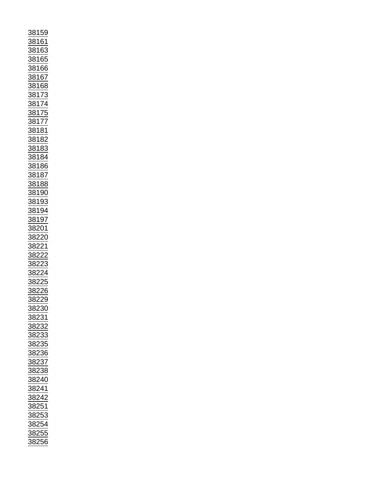| $\frac{38159}{1}$                                                                                                                                                                                                                                                           |  |
|-----------------------------------------------------------------------------------------------------------------------------------------------------------------------------------------------------------------------------------------------------------------------------|--|
|                                                                                                                                                                                                                                                                             |  |
| 38161                                                                                                                                                                                                                                                                       |  |
|                                                                                                                                                                                                                                                                             |  |
|                                                                                                                                                                                                                                                                             |  |
|                                                                                                                                                                                                                                                                             |  |
|                                                                                                                                                                                                                                                                             |  |
|                                                                                                                                                                                                                                                                             |  |
|                                                                                                                                                                                                                                                                             |  |
|                                                                                                                                                                                                                                                                             |  |
|                                                                                                                                                                                                                                                                             |  |
|                                                                                                                                                                                                                                                                             |  |
|                                                                                                                                                                                                                                                                             |  |
|                                                                                                                                                                                                                                                                             |  |
|                                                                                                                                                                                                                                                                             |  |
|                                                                                                                                                                                                                                                                             |  |
|                                                                                                                                                                                                                                                                             |  |
|                                                                                                                                                                                                                                                                             |  |
|                                                                                                                                                                                                                                                                             |  |
|                                                                                                                                                                                                                                                                             |  |
|                                                                                                                                                                                                                                                                             |  |
|                                                                                                                                                                                                                                                                             |  |
|                                                                                                                                                                                                                                                                             |  |
|                                                                                                                                                                                                                                                                             |  |
|                                                                                                                                                                                                                                                                             |  |
|                                                                                                                                                                                                                                                                             |  |
|                                                                                                                                                                                                                                                                             |  |
|                                                                                                                                                                                                                                                                             |  |
|                                                                                                                                                                                                                                                                             |  |
|                                                                                                                                                                                                                                                                             |  |
|                                                                                                                                                                                                                                                                             |  |
|                                                                                                                                                                                                                                                                             |  |
|                                                                                                                                                                                                                                                                             |  |
|                                                                                                                                                                                                                                                                             |  |
|                                                                                                                                                                                                                                                                             |  |
|                                                                                                                                                                                                                                                                             |  |
|                                                                                                                                                                                                                                                                             |  |
|                                                                                                                                                                                                                                                                             |  |
|                                                                                                                                                                                                                                                                             |  |
|                                                                                                                                                                                                                                                                             |  |
|                                                                                                                                                                                                                                                                             |  |
|                                                                                                                                                                                                                                                                             |  |
|                                                                                                                                                                                                                                                                             |  |
|                                                                                                                                                                                                                                                                             |  |
|                                                                                                                                                                                                                                                                             |  |
|                                                                                                                                                                                                                                                                             |  |
|                                                                                                                                                                                                                                                                             |  |
|                                                                                                                                                                                                                                                                             |  |
|                                                                                                                                                                                                                                                                             |  |
|                                                                                                                                                                                                                                                                             |  |
|                                                                                                                                                                                                                                                                             |  |
|                                                                                                                                                                                                                                                                             |  |
|                                                                                                                                                                                                                                                                             |  |
|                                                                                                                                                                                                                                                                             |  |
|                                                                                                                                                                                                                                                                             |  |
|                                                                                                                                                                                                                                                                             |  |
|                                                                                                                                                                                                                                                                             |  |
|                                                                                                                                                                                                                                                                             |  |
|                                                                                                                                                                                                                                                                             |  |
|                                                                                                                                                                                                                                                                             |  |
|                                                                                                                                                                                                                                                                             |  |
|                                                                                                                                                                                                                                                                             |  |
|                                                                                                                                                                                                                                                                             |  |
|                                                                                                                                                                                                                                                                             |  |
|                                                                                                                                                                                                                                                                             |  |
|                                                                                                                                                                                                                                                                             |  |
|                                                                                                                                                                                                                                                                             |  |
|                                                                                                                                                                                                                                                                             |  |
|                                                                                                                                                                                                                                                                             |  |
| 38163<br>38165<br>38166 38167<br>38166 38168<br>38168 38173<br>38173<br>38177 38177<br>381822<br>38183 38184<br>38183 38184<br>38183 38184<br>38193<br>38193<br>38193<br>38193<br>38193<br>38193<br>38193<br>38193<br>38193<br>38193<br>38193<br>382220<br>382220<br>382222 |  |
|                                                                                                                                                                                                                                                                             |  |
| 38230                                                                                                                                                                                                                                                                       |  |
|                                                                                                                                                                                                                                                                             |  |
|                                                                                                                                                                                                                                                                             |  |
|                                                                                                                                                                                                                                                                             |  |
|                                                                                                                                                                                                                                                                             |  |
|                                                                                                                                                                                                                                                                             |  |
|                                                                                                                                                                                                                                                                             |  |
|                                                                                                                                                                                                                                                                             |  |
|                                                                                                                                                                                                                                                                             |  |
|                                                                                                                                                                                                                                                                             |  |
|                                                                                                                                                                                                                                                                             |  |
|                                                                                                                                                                                                                                                                             |  |
| $\frac{12200}{38231}$ $\frac{38232}{38233}$ $\frac{38235}{38236}$ $\frac{38236}{38236}$                                                                                                                                                                                     |  |
|                                                                                                                                                                                                                                                                             |  |
|                                                                                                                                                                                                                                                                             |  |
|                                                                                                                                                                                                                                                                             |  |
|                                                                                                                                                                                                                                                                             |  |
|                                                                                                                                                                                                                                                                             |  |
|                                                                                                                                                                                                                                                                             |  |
|                                                                                                                                                                                                                                                                             |  |
|                                                                                                                                                                                                                                                                             |  |
|                                                                                                                                                                                                                                                                             |  |
|                                                                                                                                                                                                                                                                             |  |
|                                                                                                                                                                                                                                                                             |  |
|                                                                                                                                                                                                                                                                             |  |
|                                                                                                                                                                                                                                                                             |  |
|                                                                                                                                                                                                                                                                             |  |
|                                                                                                                                                                                                                                                                             |  |
|                                                                                                                                                                                                                                                                             |  |
| $\frac{38237}{38237}$<br>$\frac{38238}{38240}$<br>$\frac{38242}{38251}$<br>$\frac{38251}{38253}$                                                                                                                                                                            |  |
|                                                                                                                                                                                                                                                                             |  |
| 38255<br>38256                                                                                                                                                                                                                                                              |  |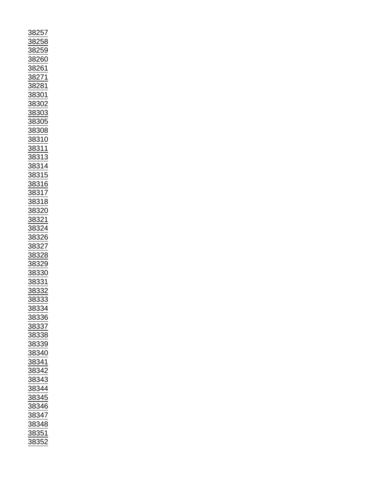| <u>38257</u>                                                                                                                                                                                                                                                                                                             |
|--------------------------------------------------------------------------------------------------------------------------------------------------------------------------------------------------------------------------------------------------------------------------------------------------------------------------|
|                                                                                                                                                                                                                                                                                                                          |
|                                                                                                                                                                                                                                                                                                                          |
|                                                                                                                                                                                                                                                                                                                          |
|                                                                                                                                                                                                                                                                                                                          |
|                                                                                                                                                                                                                                                                                                                          |
|                                                                                                                                                                                                                                                                                                                          |
|                                                                                                                                                                                                                                                                                                                          |
|                                                                                                                                                                                                                                                                                                                          |
|                                                                                                                                                                                                                                                                                                                          |
|                                                                                                                                                                                                                                                                                                                          |
|                                                                                                                                                                                                                                                                                                                          |
|                                                                                                                                                                                                                                                                                                                          |
|                                                                                                                                                                                                                                                                                                                          |
|                                                                                                                                                                                                                                                                                                                          |
|                                                                                                                                                                                                                                                                                                                          |
|                                                                                                                                                                                                                                                                                                                          |
|                                                                                                                                                                                                                                                                                                                          |
|                                                                                                                                                                                                                                                                                                                          |
|                                                                                                                                                                                                                                                                                                                          |
|                                                                                                                                                                                                                                                                                                                          |
|                                                                                                                                                                                                                                                                                                                          |
|                                                                                                                                                                                                                                                                                                                          |
|                                                                                                                                                                                                                                                                                                                          |
|                                                                                                                                                                                                                                                                                                                          |
|                                                                                                                                                                                                                                                                                                                          |
|                                                                                                                                                                                                                                                                                                                          |
|                                                                                                                                                                                                                                                                                                                          |
|                                                                                                                                                                                                                                                                                                                          |
|                                                                                                                                                                                                                                                                                                                          |
|                                                                                                                                                                                                                                                                                                                          |
|                                                                                                                                                                                                                                                                                                                          |
|                                                                                                                                                                                                                                                                                                                          |
|                                                                                                                                                                                                                                                                                                                          |
|                                                                                                                                                                                                                                                                                                                          |
|                                                                                                                                                                                                                                                                                                                          |
|                                                                                                                                                                                                                                                                                                                          |
|                                                                                                                                                                                                                                                                                                                          |
|                                                                                                                                                                                                                                                                                                                          |
|                                                                                                                                                                                                                                                                                                                          |
|                                                                                                                                                                                                                                                                                                                          |
|                                                                                                                                                                                                                                                                                                                          |
|                                                                                                                                                                                                                                                                                                                          |
|                                                                                                                                                                                                                                                                                                                          |
|                                                                                                                                                                                                                                                                                                                          |
|                                                                                                                                                                                                                                                                                                                          |
|                                                                                                                                                                                                                                                                                                                          |
|                                                                                                                                                                                                                                                                                                                          |
|                                                                                                                                                                                                                                                                                                                          |
|                                                                                                                                                                                                                                                                                                                          |
|                                                                                                                                                                                                                                                                                                                          |
|                                                                                                                                                                                                                                                                                                                          |
|                                                                                                                                                                                                                                                                                                                          |
|                                                                                                                                                                                                                                                                                                                          |
|                                                                                                                                                                                                                                                                                                                          |
|                                                                                                                                                                                                                                                                                                                          |
|                                                                                                                                                                                                                                                                                                                          |
|                                                                                                                                                                                                                                                                                                                          |
| 38258<br>38258<br>38259<br>38260<br>38260<br>38261<br>382811<br>38302<br>38302<br>38308<br>38311<br>38311<br>38311<br>38311<br>38311<br>38320<br>38322<br>38322<br>38322<br>38322<br>38312<br>38312<br>38312<br>38312<br>38312<br>38312<br>38322<br>38322<br>38322<br>38322<br>38322<br>38322<br>38322<br>38322<br>38322 |
| 38333                                                                                                                                                                                                                                                                                                                    |
|                                                                                                                                                                                                                                                                                                                          |
| <u>38334</u>                                                                                                                                                                                                                                                                                                             |
|                                                                                                                                                                                                                                                                                                                          |
|                                                                                                                                                                                                                                                                                                                          |
|                                                                                                                                                                                                                                                                                                                          |
| 38336<br>38337                                                                                                                                                                                                                                                                                                           |
|                                                                                                                                                                                                                                                                                                                          |
| 38338                                                                                                                                                                                                                                                                                                                    |
|                                                                                                                                                                                                                                                                                                                          |
|                                                                                                                                                                                                                                                                                                                          |
|                                                                                                                                                                                                                                                                                                                          |
|                                                                                                                                                                                                                                                                                                                          |
| 38339<br>38340<br>38341                                                                                                                                                                                                                                                                                                  |
|                                                                                                                                                                                                                                                                                                                          |
| 38342                                                                                                                                                                                                                                                                                                                    |
|                                                                                                                                                                                                                                                                                                                          |
| 38343                                                                                                                                                                                                                                                                                                                    |
|                                                                                                                                                                                                                                                                                                                          |
|                                                                                                                                                                                                                                                                                                                          |
|                                                                                                                                                                                                                                                                                                                          |
|                                                                                                                                                                                                                                                                                                                          |
|                                                                                                                                                                                                                                                                                                                          |
| $\frac{1218}{38344}$ $\frac{38345}{38346}$                                                                                                                                                                                                                                                                               |
|                                                                                                                                                                                                                                                                                                                          |
|                                                                                                                                                                                                                                                                                                                          |
|                                                                                                                                                                                                                                                                                                                          |
|                                                                                                                                                                                                                                                                                                                          |
| $\frac{1}{\frac{38347}{38348}}$<br>38352                                                                                                                                                                                                                                                                                 |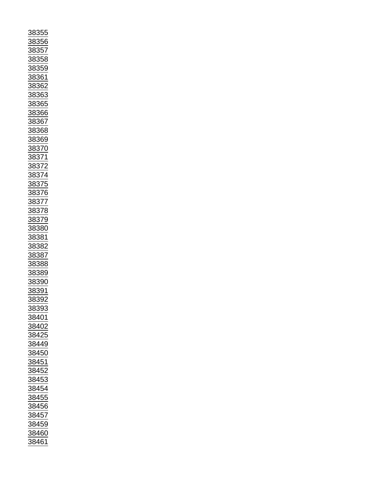| 88355                                                               |
|---------------------------------------------------------------------|
|                                                                     |
| 38356                                                               |
|                                                                     |
| <u>88357</u>                                                        |
| 38358                                                               |
|                                                                     |
| 38359                                                               |
|                                                                     |
| <u>88361</u>                                                        |
|                                                                     |
|                                                                     |
| <u>88362</u>                                                        |
|                                                                     |
|                                                                     |
| $\frac{1}{38363}$<br>$\frac{38365}{38366}$<br>$\frac{38366}{38367}$ |
|                                                                     |
|                                                                     |
|                                                                     |
|                                                                     |
|                                                                     |
|                                                                     |
| $\frac{1}{38368}$                                                   |
| 38369                                                               |
|                                                                     |
|                                                                     |
|                                                                     |
|                                                                     |
|                                                                     |
|                                                                     |
| 38370<br>38371<br>38372<br>38374<br>38375<br>38375<br>38376         |
|                                                                     |
|                                                                     |
|                                                                     |
|                                                                     |
|                                                                     |
|                                                                     |
|                                                                     |
|                                                                     |
| <u>38378</u>                                                        |
|                                                                     |
| 38379<br>38380                                                      |
|                                                                     |
|                                                                     |
| 38381                                                               |
|                                                                     |
|                                                                     |
|                                                                     |
| <u>38382</u>                                                        |
|                                                                     |
|                                                                     |
|                                                                     |
|                                                                     |
|                                                                     |
| $\frac{1}{38387}$<br>$\frac{38388}{38389}$                          |
| 38390                                                               |
|                                                                     |
| <u>38391</u>                                                        |
|                                                                     |
| 38392                                                               |
|                                                                     |
| <u>38393</u>                                                        |
| 38401                                                               |
|                                                                     |
| <u>38402</u>                                                        |
|                                                                     |
| 38425                                                               |
|                                                                     |
| 38449                                                               |
|                                                                     |
| 38450                                                               |
| 38451                                                               |
|                                                                     |
|                                                                     |
| 38452                                                               |
| 38453                                                               |
|                                                                     |
| <u>38454</u>                                                        |
|                                                                     |
| 38455                                                               |
|                                                                     |
| 38456                                                               |
| 38457                                                               |
|                                                                     |
| 38459                                                               |
|                                                                     |
| 38460<br>38461                                                      |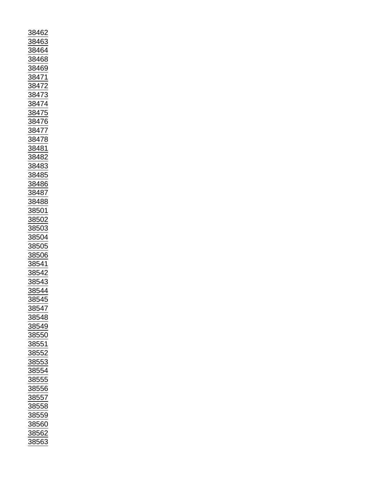| 38462                                                                                                                                       |
|---------------------------------------------------------------------------------------------------------------------------------------------|
|                                                                                                                                             |
| 38463                                                                                                                                       |
|                                                                                                                                             |
| 38464                                                                                                                                       |
|                                                                                                                                             |
| 38468                                                                                                                                       |
|                                                                                                                                             |
| 38469                                                                                                                                       |
|                                                                                                                                             |
| 3847                                                                                                                                        |
|                                                                                                                                             |
| <u>847</u>                                                                                                                                  |
|                                                                                                                                             |
| $\frac{38473}{2}$                                                                                                                           |
|                                                                                                                                             |
|                                                                                                                                             |
| $\frac{1}{38474}$ $\frac{38475}{170}$                                                                                                       |
|                                                                                                                                             |
| $\frac{1}{38476}$                                                                                                                           |
|                                                                                                                                             |
|                                                                                                                                             |
| 38477                                                                                                                                       |
|                                                                                                                                             |
| $\frac{1}{28478}$                                                                                                                           |
|                                                                                                                                             |
| 38481                                                                                                                                       |
|                                                                                                                                             |
| 38482                                                                                                                                       |
|                                                                                                                                             |
|                                                                                                                                             |
|                                                                                                                                             |
|                                                                                                                                             |
| 38483<br>38485<br>38486                                                                                                                     |
|                                                                                                                                             |
|                                                                                                                                             |
| 38487                                                                                                                                       |
|                                                                                                                                             |
| 38488                                                                                                                                       |
|                                                                                                                                             |
| 38501                                                                                                                                       |
|                                                                                                                                             |
| 38502                                                                                                                                       |
|                                                                                                                                             |
| 38503                                                                                                                                       |
|                                                                                                                                             |
|                                                                                                                                             |
|                                                                                                                                             |
| 38504                                                                                                                                       |
|                                                                                                                                             |
|                                                                                                                                             |
| $\frac{1}{38505}$                                                                                                                           |
|                                                                                                                                             |
|                                                                                                                                             |
|                                                                                                                                             |
|                                                                                                                                             |
|                                                                                                                                             |
|                                                                                                                                             |
|                                                                                                                                             |
|                                                                                                                                             |
|                                                                                                                                             |
| $\begin{array}{r} \n \overline{38506} \\  38541 \\  \hline\n 38542 \\  \hline\n 38543 \\  \hline\n 38544 \\  \hline\n 0.5111\n \end{array}$ |
| 38545                                                                                                                                       |
|                                                                                                                                             |
| 38547                                                                                                                                       |
|                                                                                                                                             |
| 38548                                                                                                                                       |
|                                                                                                                                             |
| 38549                                                                                                                                       |
|                                                                                                                                             |
| 38550                                                                                                                                       |
|                                                                                                                                             |
| 38551                                                                                                                                       |
|                                                                                                                                             |
| 38552                                                                                                                                       |
|                                                                                                                                             |
| 38553                                                                                                                                       |
|                                                                                                                                             |
| 38554                                                                                                                                       |
|                                                                                                                                             |
| 38555                                                                                                                                       |
|                                                                                                                                             |
| 38556                                                                                                                                       |
|                                                                                                                                             |
| 38557                                                                                                                                       |
|                                                                                                                                             |
| 38558                                                                                                                                       |
|                                                                                                                                             |
| 38559                                                                                                                                       |
|                                                                                                                                             |
| 38560                                                                                                                                       |
|                                                                                                                                             |
| 38562<br>38563                                                                                                                              |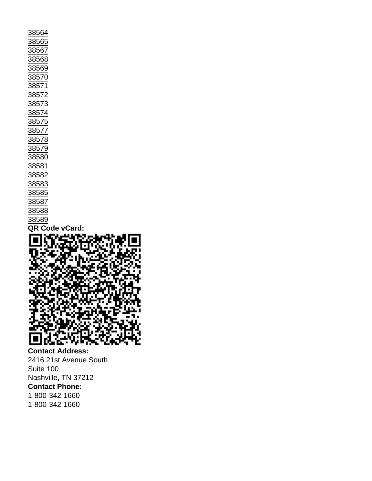Contact Address: 2416 21st Avenue South Suite 100 Nashville, TN 37212 Contact Phone: 1-800-342-1660 1-800-342-1660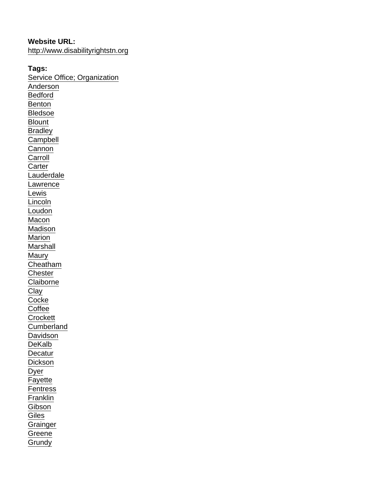Website URL: <http://www.disabilityrightstn.org>

Tags: [Service Office; Organization](https://www.tals.org/taxonomy/term/1207) [Anderson](https://www.tals.org/taxonomy/term/1317) [Bedford](https://www.tals.org/taxonomy/term/1318) [Benton](https://www.tals.org/taxonomy/term/1319) [Bledsoe](https://www.tals.org/taxonomy/term/1320) **[Blount](https://www.tals.org/taxonomy/term/1321) [Bradley](https://www.tals.org/taxonomy/term/1322) [Campbell](https://www.tals.org/taxonomy/term/1323) [Cannon](https://www.tals.org/taxonomy/term/1324) [Carroll](https://www.tals.org/taxonomy/term/1325) [Carter](https://www.tals.org/taxonomy/term/1326) [Lauderdale](https://www.tals.org/taxonomy/term/1327)** [Lawrence](https://www.tals.org/taxonomy/term/1328) [Lewis](https://www.tals.org/taxonomy/term/1329) **[Lincoln](https://www.tals.org/taxonomy/term/1330)** [Loudon](https://www.tals.org/taxonomy/term/1331) **[Macon](https://www.tals.org/taxonomy/term/1332)** [Madison](https://www.tals.org/taxonomy/term/1333) **[Marion](https://www.tals.org/taxonomy/term/1334)** [Marshall](https://www.tals.org/taxonomy/term/1335) **[Maury](https://www.tals.org/taxonomy/term/1336) [Cheatham](https://www.tals.org/taxonomy/term/1337) [Chester](https://www.tals.org/taxonomy/term/1338) [Claiborne](https://www.tals.org/taxonomy/term/1339)** [Clay](https://www.tals.org/taxonomy/term/1340) **[Cocke](https://www.tals.org/taxonomy/term/1341) [Coffee](https://www.tals.org/taxonomy/term/1342) [Crockett](https://www.tals.org/taxonomy/term/1343) [Cumberland](https://www.tals.org/taxonomy/term/1344) [Davidson](https://www.tals.org/taxonomy/term/1345)** [DeKalb](https://www.tals.org/taxonomy/term/1346) **[Decatur](https://www.tals.org/taxonomy/term/1347)** [Dickson](https://www.tals.org/taxonomy/term/1348) [Dyer](https://www.tals.org/taxonomy/term/1349) [Fayette](https://www.tals.org/taxonomy/term/1350) **[Fentress](https://www.tals.org/taxonomy/term/1351) [Franklin](https://www.tals.org/taxonomy/term/1352)** [Gibson](https://www.tals.org/taxonomy/term/1353) **[Giles](https://www.tals.org/taxonomy/term/1354) [Grainger](https://www.tals.org/taxonomy/term/1355) [Greene](https://www.tals.org/taxonomy/term/1356) [Grundy](https://www.tals.org/taxonomy/term/1357)**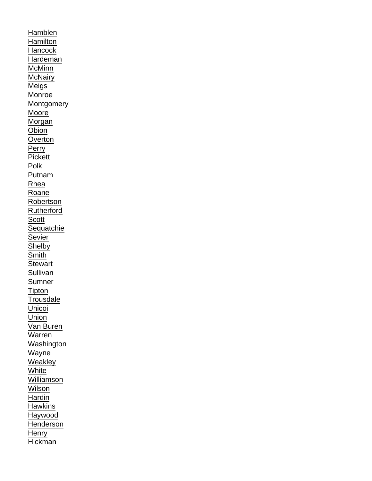[Hamblen](https://www.tals.org/taxonomy/term/1358) **[Hamilton](https://www.tals.org/taxonomy/term/1359) [Hancock](https://www.tals.org/taxonomy/term/1360)** [Hardeman](https://www.tals.org/taxonomy/term/1361) [McMinn](https://www.tals.org/taxonomy/term/1362) **[McNairy](https://www.tals.org/taxonomy/term/1363)** [Meigs](https://www.tals.org/taxonomy/term/1364) [Monroe](https://www.tals.org/taxonomy/term/1365) **[Montgomery](https://www.tals.org/taxonomy/term/1366)** [Moore](https://www.tals.org/taxonomy/term/1367) **[Morgan](https://www.tals.org/taxonomy/term/1368) [Obion](https://www.tals.org/taxonomy/term/1369) [Overton](https://www.tals.org/taxonomy/term/1370)** [Perry](https://www.tals.org/taxonomy/term/1371) **[Pickett](https://www.tals.org/taxonomy/term/1372)** [Polk](https://www.tals.org/taxonomy/term/1373) [Putnam](https://www.tals.org/taxonomy/term/1374) [Rhea](https://www.tals.org/taxonomy/term/1375) [Roane](https://www.tals.org/taxonomy/term/1376) [Robertson](https://www.tals.org/taxonomy/term/1377) [Rutherford](https://www.tals.org/taxonomy/term/1378) **[Scott](https://www.tals.org/taxonomy/term/1379) [Sequatchie](https://www.tals.org/taxonomy/term/1380)** [Sevier](https://www.tals.org/taxonomy/term/1381) **[Shelby](https://www.tals.org/taxonomy/term/1382) [Smith](https://www.tals.org/taxonomy/term/1383) [Stewart](https://www.tals.org/taxonomy/term/1384) [Sullivan](https://www.tals.org/taxonomy/term/1385)** [Sumner](https://www.tals.org/taxonomy/term/1386) **[Tipton](https://www.tals.org/taxonomy/term/1387) [Trousdale](https://www.tals.org/taxonomy/term/1388)** [Unicoi](https://www.tals.org/taxonomy/term/1389) **[Union](https://www.tals.org/taxonomy/term/1390)** [Van Buren](https://www.tals.org/taxonomy/term/1391) [Warren](https://www.tals.org/taxonomy/term/1392) [Washington](https://www.tals.org/taxonomy/term/1393) **[Wayne](https://www.tals.org/taxonomy/term/1394) [Weakley](https://www.tals.org/taxonomy/term/1395) [White](https://www.tals.org/taxonomy/term/1396) [Williamson](https://www.tals.org/taxonomy/term/1397) [Wilson](https://www.tals.org/taxonomy/term/1398)** [Hardin](https://www.tals.org/taxonomy/term/1399) **[Hawkins](https://www.tals.org/taxonomy/term/1400) [Haywood](https://www.tals.org/taxonomy/term/1401)** [Henderson](https://www.tals.org/taxonomy/term/1402) **[Henry](https://www.tals.org/taxonomy/term/1403)** [Hickman](https://www.tals.org/taxonomy/term/1404)